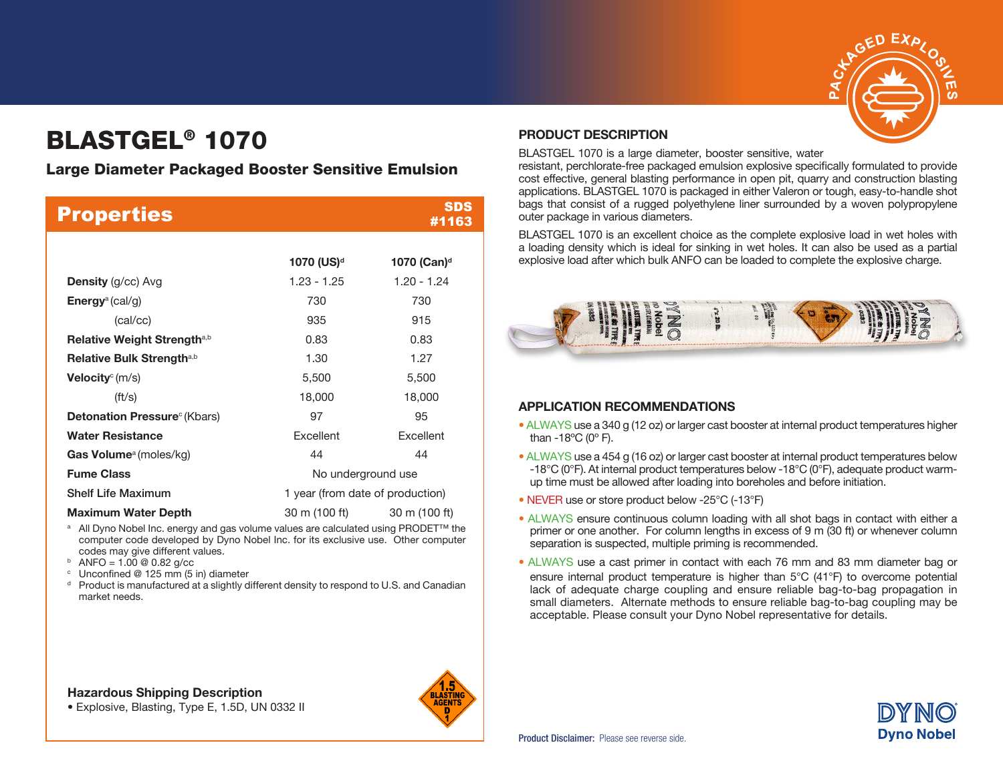

# BLASTGEL® 1070

# Large Diameter Packaged Booster Sensitive Emulsion

| <b>Properties</b>                               |                                | <b>SDS</b><br>#1163              |  |  |
|-------------------------------------------------|--------------------------------|----------------------------------|--|--|
|                                                 |                                |                                  |  |  |
|                                                 | 1070 (US) <sup>d</sup>         | 1070 (Can) <sup>d</sup>          |  |  |
| <b>Density</b> (g/cc) Avg                       | $1.23 - 1.25$                  | $1.20 - 1.24$                    |  |  |
| <b>Energy</b> <sup>a</sup> (cal/g)              | 730                            | 730                              |  |  |
| (cal/cc)                                        | 935                            | 915                              |  |  |
| Relative Weight Strength <sup>a,b</sup>         | 0.83                           | 0.83                             |  |  |
| Relative Bulk Strength <sup>a,b</sup>           | 1.30                           | 1.27                             |  |  |
| <b>Velocity</b> <sup>c</sup> (m/s)              | 5,500                          | 5,500                            |  |  |
| $({\rm ft/s})$                                  | 18,000                         | 18,000                           |  |  |
| <b>Detonation Pressure</b> <sup>c</sup> (Kbars) | 97                             | 95                               |  |  |
| <b>Water Resistance</b>                         | Excellent                      | Excellent                        |  |  |
| <b>Gas Volume</b> <sup>a</sup> (moles/kg)       | 44                             | 44                               |  |  |
| <b>Fume Class</b>                               |                                | No underground use               |  |  |
| <b>Shelf Life Maximum</b>                       |                                | 1 year (from date of production) |  |  |
| <b>Maximum Water Depth</b>                      | 30 m (100 ft)<br>30 m (100 ft) |                                  |  |  |

<sup>a</sup> All Dyno Nobel Inc. energy and gas volume values are calculated using PRODET<sup>™</sup> the computer code developed by Dyno Nobel Inc. for its exclusive use. Other computer codes may give different values.<br>  $\frac{1}{2}$  ANFO = 1.00 @ 0.82 g/cc

- $\degree$  Unconfined @ 125 mm (5 in) diameter
- $d$  Product is manufactured at a slightly different density to respond to U.S. and Canadian market needs.

#### Hazardous Shipping Description





#### PRODUCT DESCRIPTION

BLASTGEL 1070 is a large diameter, booster sensitive, water

resistant, perchlorate-free packaged emulsion explosive specifically formulated to provide cost effective, general blasting performance in open pit, quarry and construction blasting applications. BLASTGEL 1070 is packaged in either Valeron or tough, easy-to-handle shot bags that consist of a rugged polyethylene liner surrounded by a woven polypropylene outer package in various diameters.

BLASTGEL 1070 is an excellent choice as the complete explosive load in wet holes with a loading density which is ideal for sinking in wet holes. It can also be used as a partial explosive load after which bulk ANFO can be loaded to complete the explosive charge.



### APPLICATION RECOMMENDATIONS

- ALWAYS use a 340 g (12 oz) or larger cast booster at internal product temperatures higher than  $-18^{\circ}$ C (0 $^{\circ}$  F).
- ALWAYS use a 454 g (16 oz) or larger cast booster at internal product temperatures below -18°C (0°F). At internal product temperatures below -18°C (0°F), adequate product warmup time must be allowed after loading into boreholes and before initiation.
- NEVER use or store product below -25°C (-13°F)
- ALWAYS ensure continuous column loading with all shot bags in contact with either a primer or one another. For column lengths in excess of 9 m (30 ft) or whenever column separation is suspected, multiple priming is recommended.
- ALWAYS use a cast primer in contact with each 76 mm and 83 mm diameter bag or ensure internal product temperature is higher than 5°C (41°F) to overcome potential lack of adequate charge coupling and ensure reliable bag-to-bag propagation in small diameters. Alternate methods to ensure reliable bag-to-bag coupling may be acceptable. Please consult your Dyno Nobel representative for details.